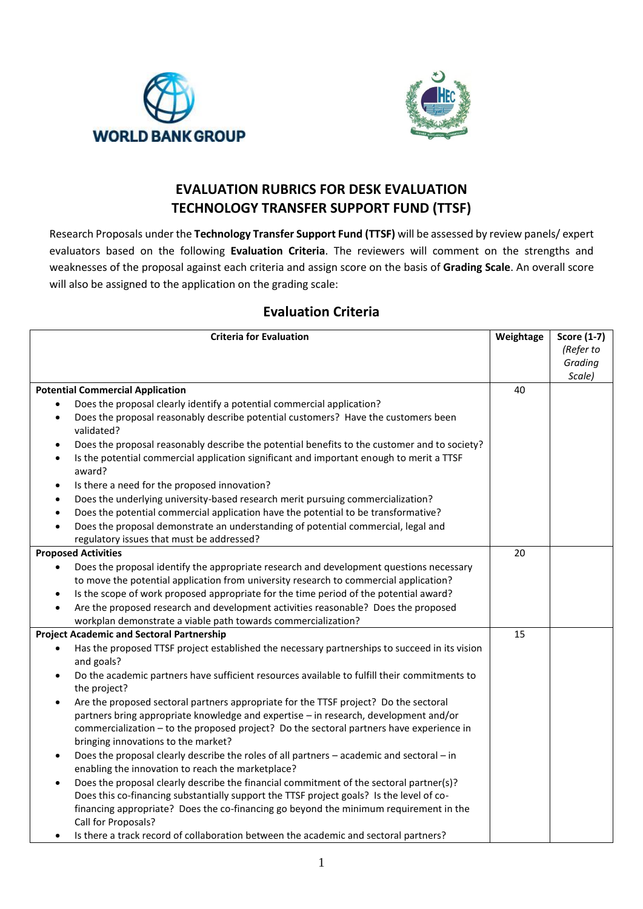



## **EVALUATION RUBRICS FOR DESK EVALUATION TECHNOLOGY TRANSFER SUPPORT FUND (TTSF)**

Research Proposals under the **Technology Transfer Support Fund (TTSF)** will be assessed by review panels/ expert evaluators based on the following **Evaluation Criteria**. The reviewers will comment on the strengths and weaknesses of the proposal against each criteria and assign score on the basis of **Grading Scale**. An overall score will also be assigned to the application on the grading scale:

## **Evaluation Criteria**

| <b>Criteria for Evaluation</b>                                                                                                                                                                           |    | <b>Score (1-7)</b> |
|----------------------------------------------------------------------------------------------------------------------------------------------------------------------------------------------------------|----|--------------------|
|                                                                                                                                                                                                          |    | (Refer to          |
|                                                                                                                                                                                                          |    | Grading            |
|                                                                                                                                                                                                          |    | Scale)             |
| <b>Potential Commercial Application</b>                                                                                                                                                                  | 40 |                    |
| Does the proposal clearly identify a potential commercial application?<br>٠                                                                                                                              |    |                    |
| Does the proposal reasonably describe potential customers? Have the customers been<br>$\bullet$<br>validated?                                                                                            |    |                    |
| Does the proposal reasonably describe the potential benefits to the customer and to society?<br>$\bullet$                                                                                                |    |                    |
| Is the potential commercial application significant and important enough to merit a TTSF<br>$\bullet$<br>award?                                                                                          |    |                    |
| Is there a need for the proposed innovation?<br>$\bullet$                                                                                                                                                |    |                    |
| Does the underlying university-based research merit pursuing commercialization?<br>$\bullet$                                                                                                             |    |                    |
| Does the potential commercial application have the potential to be transformative?<br>$\bullet$                                                                                                          |    |                    |
| Does the proposal demonstrate an understanding of potential commercial, legal and<br>$\bullet$                                                                                                           |    |                    |
| regulatory issues that must be addressed?                                                                                                                                                                |    |                    |
| <b>Proposed Activities</b>                                                                                                                                                                               | 20 |                    |
| Does the proposal identify the appropriate research and development questions necessary<br>$\bullet$                                                                                                     |    |                    |
| to move the potential application from university research to commercial application?                                                                                                                    |    |                    |
| Is the scope of work proposed appropriate for the time period of the potential award?<br>$\bullet$                                                                                                       |    |                    |
| Are the proposed research and development activities reasonable? Does the proposed<br>$\bullet$                                                                                                          |    |                    |
| workplan demonstrate a viable path towards commercialization?                                                                                                                                            |    |                    |
| <b>Project Academic and Sectoral Partnership</b>                                                                                                                                                         | 15 |                    |
| Has the proposed TTSF project established the necessary partnerships to succeed in its vision<br>$\bullet$<br>and goals?                                                                                 |    |                    |
| Do the academic partners have sufficient resources available to fulfill their commitments to<br>$\bullet$<br>the project?                                                                                |    |                    |
| Are the proposed sectoral partners appropriate for the TTSF project? Do the sectoral<br>$\bullet$                                                                                                        |    |                    |
| partners bring appropriate knowledge and expertise - in research, development and/or                                                                                                                     |    |                    |
| commercialization - to the proposed project? Do the sectoral partners have experience in<br>bringing innovations to the market?                                                                          |    |                    |
| Does the proposal clearly describe the roles of all partners - academic and sectoral - in<br>$\bullet$<br>enabling the innovation to reach the marketplace?                                              |    |                    |
| Does the proposal clearly describe the financial commitment of the sectoral partner(s)?<br>$\bullet$                                                                                                     |    |                    |
| Does this co-financing substantially support the TTSF project goals? Is the level of co-<br>financing appropriate? Does the co-financing go beyond the minimum requirement in the<br>Call for Proposals? |    |                    |
| Letter a trady reserve to pulshoretian het uses the coorder to context a context of the street of the street o                                                                                           |    |                    |

Is there a track record of collaboration between the academic and sectoral partners?